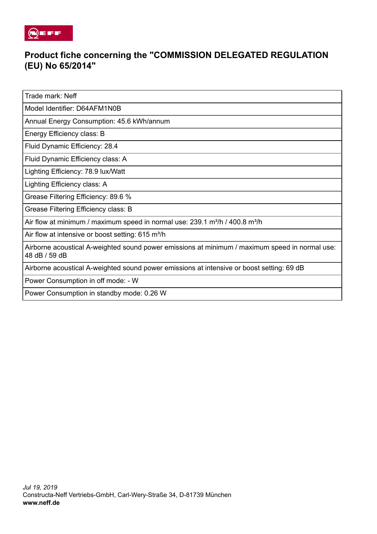

## **Product fiche concerning the "COMMISSION DELEGATED REGULATION (EU) No 65/2014"**

Trade mark: Neff

Model Identifier: D64AFM1N0B

Annual Energy Consumption: 45.6 kWh/annum

Energy Efficiency class: B

Fluid Dynamic Efficiency: 28.4

Fluid Dynamic Efficiency class: A

Lighting Efficiency: 78.9 lux/Watt

Lighting Efficiency class: A

Grease Filtering Efficiency: 89.6 %

Grease Filtering Efficiency class: B

Air flow at minimum / maximum speed in normal use: 239.1 m<sup>3</sup>/h / 400.8 m<sup>3</sup>/h

Air flow at intensive or boost setting: 615 m<sup>3</sup>/h

Airborne acoustical A-weighted sound power emissions at minimum / maximum speed in normal use: 48 dB / 59 dB

Airborne acoustical A-weighted sound power emissions at intensive or boost setting: 69 dB

Power Consumption in off mode: - W

Power Consumption in standby mode: 0.26 W